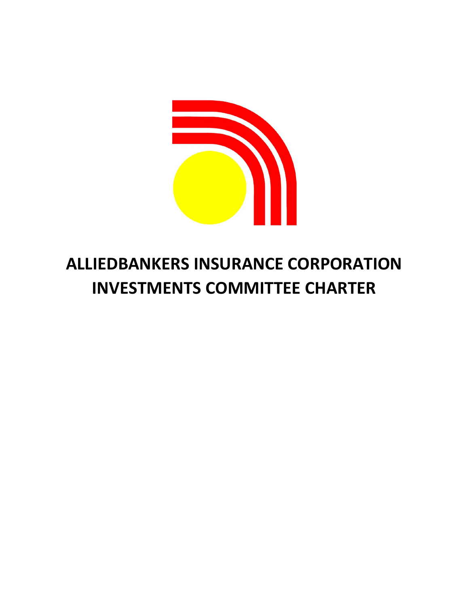

# ALLIEDBANKERS INSURANCE CORPORATION INVESTMENTS COMMITTEE CHARTER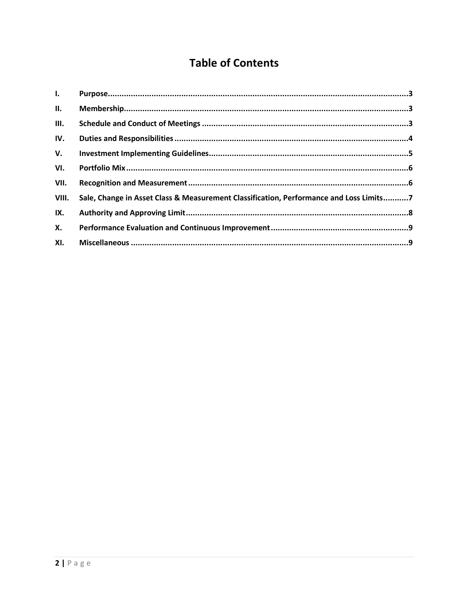# **Table of Contents**

| $\mathbf{L}$ |                                                                                        |  |
|--------------|----------------------------------------------------------------------------------------|--|
| II.          |                                                                                        |  |
| III.         |                                                                                        |  |
| IV.          |                                                                                        |  |
| V.           |                                                                                        |  |
| VI.          |                                                                                        |  |
| VII.         |                                                                                        |  |
| VIII.        | Sale, Change in Asset Class & Measurement Classification, Performance and Loss Limits7 |  |
| IX.          |                                                                                        |  |
| <b>X.</b>    |                                                                                        |  |
| XI.          |                                                                                        |  |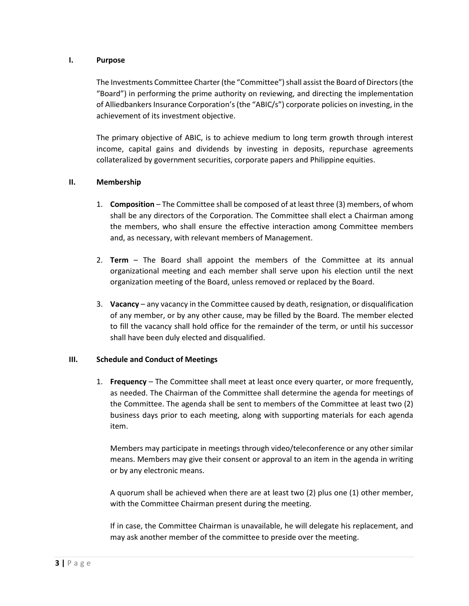#### I. Purpose

The Investments Committee Charter (the "Committee") shall assist the Board of Directors (the "Board") in performing the prime authority on reviewing, and directing the implementation of Alliedbankers Insurance Corporation's (the "ABIC/s") corporate policies on investing, in the achievement of its investment objective.

The primary objective of ABIC, is to achieve medium to long term growth through interest income, capital gains and dividends by investing in deposits, repurchase agreements collateralized by government securities, corporate papers and Philippine equities.

#### II. Membership

- 1. Composition The Committee shall be composed of at least three (3) members, of whom shall be any directors of the Corporation. The Committee shall elect a Chairman among the members, who shall ensure the effective interaction among Committee members and, as necessary, with relevant members of Management.
- 2. Term The Board shall appoint the members of the Committee at its annual organizational meeting and each member shall serve upon his election until the next organization meeting of the Board, unless removed or replaced by the Board.
- 3. Vacancy any vacancy in the Committee caused by death, resignation, or disqualification of any member, or by any other cause, may be filled by the Board. The member elected to fill the vacancy shall hold office for the remainder of the term, or until his successor shall have been duly elected and disqualified.

#### III. Schedule and Conduct of Meetings

1. Frequency – The Committee shall meet at least once every quarter, or more frequently, as needed. The Chairman of the Committee shall determine the agenda for meetings of the Committee. The agenda shall be sent to members of the Committee at least two (2) business days prior to each meeting, along with supporting materials for each agenda item.

Members may participate in meetings through video/teleconference or any other similar means. Members may give their consent or approval to an item in the agenda in writing or by any electronic means.

A quorum shall be achieved when there are at least two (2) plus one (1) other member, with the Committee Chairman present during the meeting.

If in case, the Committee Chairman is unavailable, he will delegate his replacement, and may ask another member of the committee to preside over the meeting.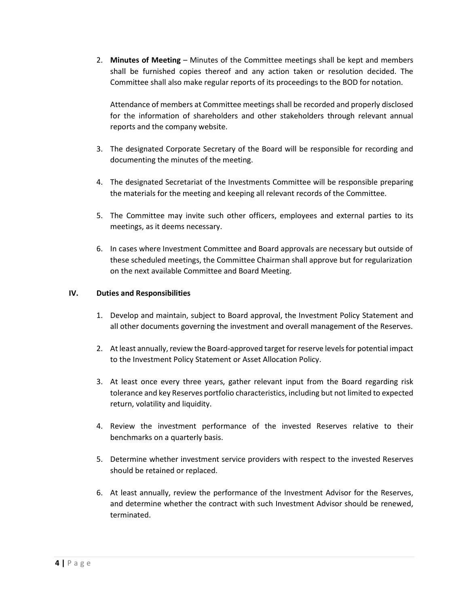2. Minutes of Meeting – Minutes of the Committee meetings shall be kept and members shall be furnished copies thereof and any action taken or resolution decided. The Committee shall also make regular reports of its proceedings to the BOD for notation.

Attendance of members at Committee meetings shall be recorded and properly disclosed for the information of shareholders and other stakeholders through relevant annual reports and the company website.

- 3. The designated Corporate Secretary of the Board will be responsible for recording and documenting the minutes of the meeting.
- 4. The designated Secretariat of the Investments Committee will be responsible preparing the materials for the meeting and keeping all relevant records of the Committee.
- 5. The Committee may invite such other officers, employees and external parties to its meetings, as it deems necessary.
- 6. In cases where Investment Committee and Board approvals are necessary but outside of these scheduled meetings, the Committee Chairman shall approve but for regularization on the next available Committee and Board Meeting.

#### IV. Duties and Responsibilities

- 1. Develop and maintain, subject to Board approval, the Investment Policy Statement and all other documents governing the investment and overall management of the Reserves.
- 2. At least annually, review the Board-approved target for reserve levels for potential impact to the Investment Policy Statement or Asset Allocation Policy.
- 3. At least once every three years, gather relevant input from the Board regarding risk tolerance and key Reserves portfolio characteristics, including but not limited to expected return, volatility and liquidity.
- 4. Review the investment performance of the invested Reserves relative to their benchmarks on a quarterly basis.
- 5. Determine whether investment service providers with respect to the invested Reserves should be retained or replaced.
- 6. At least annually, review the performance of the Investment Advisor for the Reserves, and determine whether the contract with such Investment Advisor should be renewed, terminated.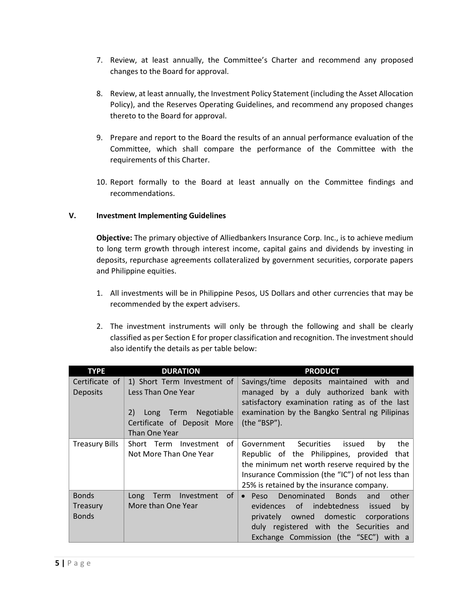- 7. Review, at least annually, the Committee's Charter and recommend any proposed changes to the Board for approval.
- 8. Review, at least annually, the Investment Policy Statement (including the Asset Allocation Policy), and the Reserves Operating Guidelines, and recommend any proposed changes thereto to the Board for approval.
- 9. Prepare and report to the Board the results of an annual performance evaluation of the Committee, which shall compare the performance of the Committee with the requirements of this Charter.
- 10. Report formally to the Board at least annually on the Committee findings and recommendations.

# V. Investment Implementing Guidelines

Objective: The primary objective of Alliedbankers Insurance Corp. Inc., is to achieve medium to long term growth through interest income, capital gains and dividends by investing in deposits, repurchase agreements collateralized by government securities, corporate papers and Philippine equities.

- 1. All investments will be in Philippine Pesos, US Dollars and other currencies that may be recommended by the expert advisers.
- 2. The investment instruments will only be through the following and shall be clearly classified as per Section E for proper classification and recognition. The investment should also identify the details as per table below:

| <b>TYPE</b>                              | <b>DURATION</b>                                                                                                              | <b>PRODUCT</b>                                                                                                                                                                                                                               |
|------------------------------------------|------------------------------------------------------------------------------------------------------------------------------|----------------------------------------------------------------------------------------------------------------------------------------------------------------------------------------------------------------------------------------------|
| Certificate of<br><b>Deposits</b>        | 1) Short Term Investment of<br>Less Than One Year<br>2) Long Term Negotiable<br>Certificate of Deposit More<br>Than One Year | Savings/time deposits maintained with and<br>managed by a duly authorized bank with<br>satisfactory examination rating as of the last<br>examination by the Bangko Sentral ng Pilipinas<br>(the "BSP").                                      |
| <b>Treasury Bills</b>                    | 0f<br>Short Term Investment<br>Not More Than One Year                                                                        | Government Securities<br>the<br>issued<br>by<br>Republic of the Philippines, provided that<br>the minimum net worth reserve required by the<br>Insurance Commission (the "IC") of not less than<br>25% is retained by the insurance company. |
| <b>Bonds</b><br>Treasury<br><b>Bonds</b> | 0f<br>Long Term<br>Investment<br>More than One Year                                                                          | Denominated Bonds<br>$\bullet$ Peso<br>other<br>and<br>of indebtedness<br>issued<br>evidences<br>by<br>privately owned domestic<br>corporations<br>duly registered with the Securities and<br>Exchange Commission (the "SEC") with a         |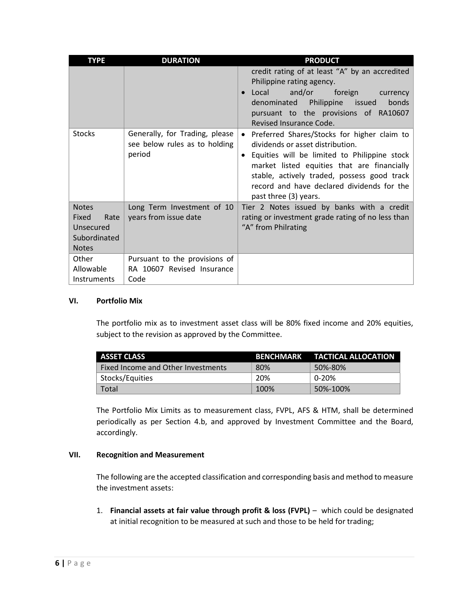| <b>TYPE</b>                                                                | <b>DURATION</b>                                                           | <b>PRODUCT</b>                                                                                                                                                                                                                                                                                                    |
|----------------------------------------------------------------------------|---------------------------------------------------------------------------|-------------------------------------------------------------------------------------------------------------------------------------------------------------------------------------------------------------------------------------------------------------------------------------------------------------------|
|                                                                            |                                                                           | credit rating of at least "A" by an accredited<br>Philippine rating agency.<br>Local<br>and/or<br>foreign<br>currency<br>denominated Philippine issued<br>bonds<br>pursuant to the provisions of RA10607<br>Revised Insurance Code.                                                                               |
| <b>Stocks</b>                                                              | Generally, for Trading, please<br>see below rules as to holding<br>period | Preferred Shares/Stocks for higher claim to<br>$\bullet$<br>dividends or asset distribution.<br>Equities will be limited to Philippine stock<br>market listed equities that are financially<br>stable, actively traded, possess good track<br>record and have declared dividends for the<br>past three (3) years. |
| <b>Notes</b><br>Fixed<br>Rate<br>Unsecured<br>Subordinated<br><b>Notes</b> | Long Term Investment of 10<br>years from issue date                       | Tier 2 Notes issued by banks with a credit<br>rating or investment grade rating of no less than<br>"A" from Philrating                                                                                                                                                                                            |
| Other<br>Allowable                                                         | Pursuant to the provisions of<br>RA 10607 Revised Insurance               |                                                                                                                                                                                                                                                                                                                   |
| <b>Instruments</b>                                                         | Code                                                                      |                                                                                                                                                                                                                                                                                                                   |

#### VI. Portfolio Mix

The portfolio mix as to investment asset class will be 80% fixed income and 20% equities, subject to the revision as approved by the Committee.

| <b>ASSET CLASS</b>                 |      | BENCHMARK TACTICAL ALLOCATION |
|------------------------------------|------|-------------------------------|
| Fixed Income and Other Investments | 80%  | 50%-80%                       |
| Stocks/Equities                    | 20%  | 0-20%                         |
| Total                              | 100% | 50%-100%                      |

The Portfolio Mix Limits as to measurement class, FVPL, AFS & HTM, shall be determined periodically as per Section 4.b, and approved by Investment Committee and the Board, accordingly.

#### VII. Recognition and Measurement

The following are the accepted classification and corresponding basis and method to measure the investment assets:

1. Financial assets at fair value through profit & loss (FVPL) – which could be designated at initial recognition to be measured at such and those to be held for trading;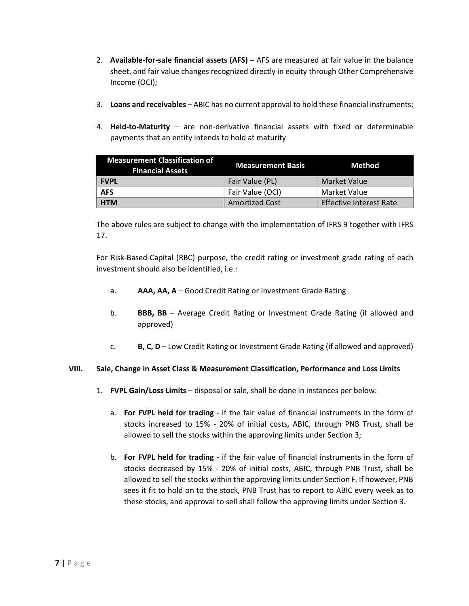- 2. Available-for-sale financial assets (AFS) AFS are measured at fair value in the balance sheet, and fair value changes recognized directly in equity through Other Comprehensive Income (OCI);
- 3. Loans and receivables ABIC has no current approval to hold these financial instruments;
- 4. Held-to-Maturity are non-derivative financial assets with fixed or determinable payments that an entity intends to hold at maturity

| <b>Measurement Classification of</b><br><b>Financial Assets</b> | <b>Measurement Basis</b> | Method                         |  |
|-----------------------------------------------------------------|--------------------------|--------------------------------|--|
| <b>FVPL</b>                                                     | Fair Value (PL)          | Market Value                   |  |
| <b>AFS</b>                                                      | Fair Value (OCI)         | Market Value                   |  |
| <b>HTM</b>                                                      | <b>Amortized Cost</b>    | <b>Effective Interest Rate</b> |  |

The above rules are subject to change with the implementation of IFRS 9 together with IFRS 17.

For Risk-Based-Capital (RBC) purpose, the credit rating or investment grade rating of each investment should also be identified, i.e.:

- a. AAA, AA, A Good Credit Rating or Investment Grade Rating
- b. BBB, BB Average Credit Rating or Investment Grade Rating (if allowed and approved)
- c.  $B, C, D$  Low Credit Rating or Investment Grade Rating (if allowed and approved)

# VIII. Sale, Change in Asset Class & Measurement Classification, Performance and Loss Limits

- 1. FVPL Gain/Loss Limits disposal or sale, shall be done in instances per below:
	- a. For FVPL held for trading if the fair value of financial instruments in the form of stocks increased to 15% - 20% of initial costs, ABIC, through PNB Trust, shall be allowed to sell the stocks within the approving limits under Section 3;
	- b. For FVPL held for trading if the fair value of financial instruments in the form of stocks decreased by 15% - 20% of initial costs, ABIC, through PNB Trust, shall be allowed to sell the stocks within the approving limits under Section F. If however, PNB sees it fit to hold on to the stock, PNB Trust has to report to ABIC every week as to these stocks, and approval to sell shall follow the approving limits under Section 3.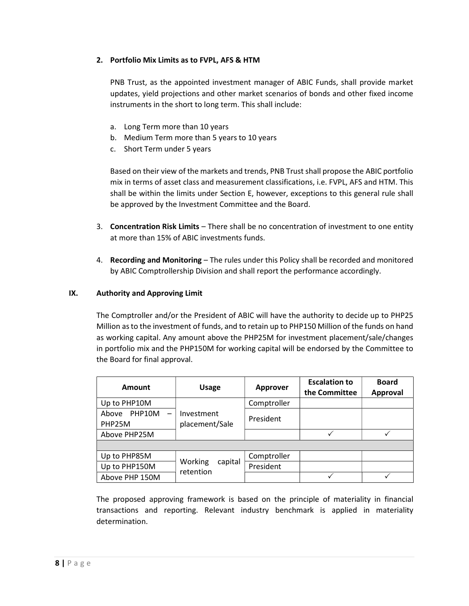### 2. Portfolio Mix Limits as to FVPL, AFS & HTM

PNB Trust, as the appointed investment manager of ABIC Funds, shall provide market updates, yield projections and other market scenarios of bonds and other fixed income instruments in the short to long term. This shall include:

- a. Long Term more than 10 years
- b. Medium Term more than 5 years to 10 years
- c. Short Term under 5 years

Based on their view of the markets and trends, PNB Trust shall propose the ABIC portfolio mix in terms of asset class and measurement classifications, i.e. FVPL, AFS and HTM. This shall be within the limits under Section E, however, exceptions to this general rule shall be approved by the Investment Committee and the Board.

- 3. Concentration Risk Limits There shall be no concentration of investment to one entity at more than 15% of ABIC investments funds.
- 4. Recording and Monitoring The rules under this Policy shall be recorded and monitored by ABIC Comptrollership Division and shall report the performance accordingly.

#### IX. Authority and Approving Limit

The Comptroller and/or the President of ABIC will have the authority to decide up to PHP25 Million as to the investment of funds, and to retain up to PHP150 Million of the funds on hand as working capital. Any amount above the PHP25M for investment placement/sale/changes in portfolio mix and the PHP150M for working capital will be endorsed by the Committee to the Board for final approval.

| Amount                                                | <b>Usage</b>                 | Approver    | <b>Escalation to</b><br>the Committee | <b>Board</b><br><b>Approval</b> |  |  |  |  |
|-------------------------------------------------------|------------------------------|-------------|---------------------------------------|---------------------------------|--|--|--|--|
| Up to PHP10M                                          |                              | Comptroller |                                       |                                 |  |  |  |  |
| PHP10M<br>Above<br>$\overline{\phantom{0}}$<br>PHP25M | Investment<br>placement/Sale | President   |                                       |                                 |  |  |  |  |
| Above PHP25M                                          |                              |             |                                       |                                 |  |  |  |  |
|                                                       |                              |             |                                       |                                 |  |  |  |  |
| Up to PHP85M                                          | Working                      | Comptroller |                                       |                                 |  |  |  |  |
| Up to PHP150M                                         | capital<br>retention         | President   |                                       |                                 |  |  |  |  |
| Above PHP 150M                                        |                              |             |                                       |                                 |  |  |  |  |

The proposed approving framework is based on the principle of materiality in financial transactions and reporting. Relevant industry benchmark is applied in materiality determination.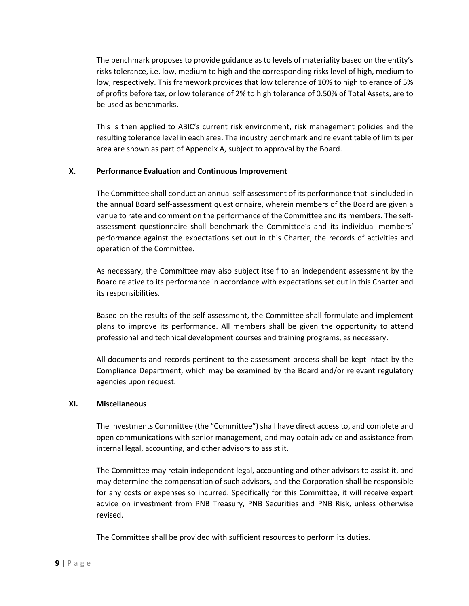The benchmark proposes to provide guidance as to levels of materiality based on the entity's risks tolerance, i.e. low, medium to high and the corresponding risks level of high, medium to low, respectively. This framework provides that low tolerance of 10% to high tolerance of 5% of profits before tax, or low tolerance of 2% to high tolerance of 0.50% of Total Assets, are to be used as benchmarks.

This is then applied to ABIC's current risk environment, risk management policies and the resulting tolerance level in each area. The industry benchmark and relevant table of limits per area are shown as part of Appendix A, subject to approval by the Board.

#### X. Performance Evaluation and Continuous Improvement

The Committee shall conduct an annual self-assessment of its performance that is included in the annual Board self-assessment questionnaire, wherein members of the Board are given a venue to rate and comment on the performance of the Committee and its members. The selfassessment questionnaire shall benchmark the Committee's and its individual members' performance against the expectations set out in this Charter, the records of activities and operation of the Committee.

As necessary, the Committee may also subject itself to an independent assessment by the Board relative to its performance in accordance with expectations set out in this Charter and its responsibilities.

Based on the results of the self-assessment, the Committee shall formulate and implement plans to improve its performance. All members shall be given the opportunity to attend professional and technical development courses and training programs, as necessary.

All documents and records pertinent to the assessment process shall be kept intact by the Compliance Department, which may be examined by the Board and/or relevant regulatory agencies upon request.

#### XI. Miscellaneous

The Investments Committee (the "Committee") shall have direct access to, and complete and open communications with senior management, and may obtain advice and assistance from internal legal, accounting, and other advisors to assist it.

The Committee may retain independent legal, accounting and other advisors to assist it, and may determine the compensation of such advisors, and the Corporation shall be responsible for any costs or expenses so incurred. Specifically for this Committee, it will receive expert advice on investment from PNB Treasury, PNB Securities and PNB Risk, unless otherwise revised.

The Committee shall be provided with sufficient resources to perform its duties.